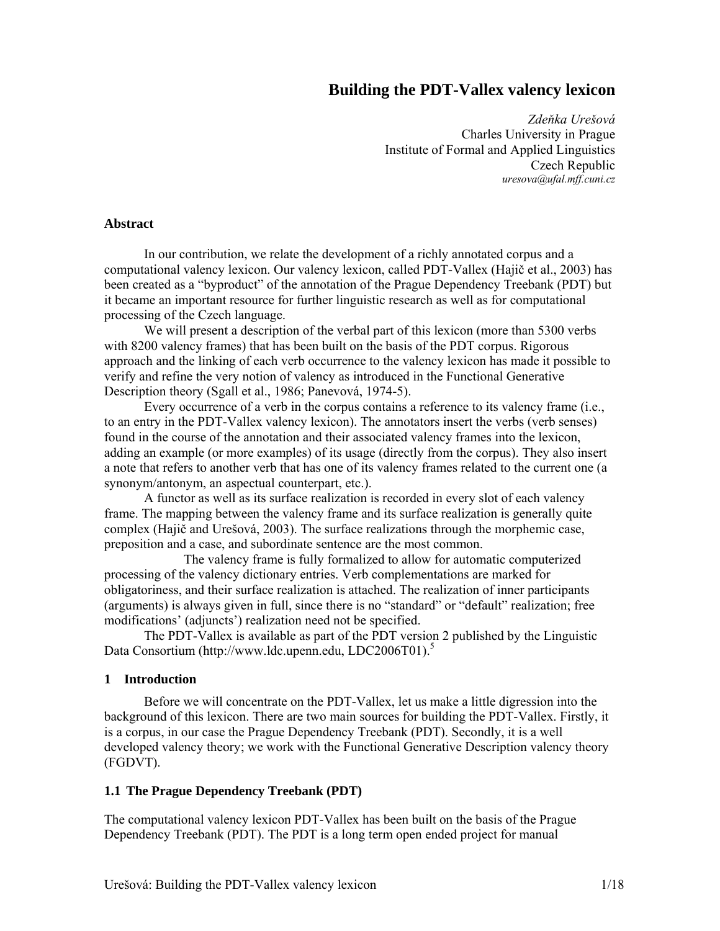# **Building the PDT-Vallex valency lexicon**

*Zdeňka Urešová*  Charles University in Prague Institute of Formal and Applied Linguistics Czech Republic *uresova@ufal.mff.cuni.cz* 

#### **Abstract**

In our contribution, we relate the development of a richly annotated corpus and a computational valency lexicon. Our valency lexicon, called PDT-Vallex (Hajič et al., 2003) has been created as a "byproduct" of the annotation of the Prague Dependency Treebank (PDT) but it became an important resource for further linguistic research as well as for computational processing of the Czech language.

We will present a description of the verbal part of this lexicon (more than 5300 verbs with 8200 valency frames) that has been built on the basis of the PDT corpus. Rigorous approach and the linking of each verb occurrence to the valency lexicon has made it possible to verify and refine the very notion of valency as introduced in the Functional Generative Description theory (Sgall et al., 1986; Panevová, 1974-5).

Every occurrence of a verb in the corpus contains a reference to its valency frame (i.e., to an entry in the PDT-Vallex valency lexicon). The annotators insert the verbs (verb senses) found in the course of the annotation and their associated valency frames into the lexicon, adding an example (or more examples) of its usage (directly from the corpus). They also insert a note that refers to another verb that has one of its valency frames related to the current one (a synonym/antonym, an aspectual counterpart, etc.).

A functor as well as its surface realization is recorded in every slot of each valency frame. The mapping between the valency frame and its surface realization is generally quite complex (Hajič and Urešová, 2003). The surface realizations through the morphemic case, preposition and a case, and subordinate sentence are the most common.

 The valency frame is fully formalized to allow for automatic computerized processing of the valency dictionary entries. Verb complementations are marked for obligatoriness, and their surface realization is attached. The realization of inner participants (arguments) is always given in full, since there is no "standard" or "default" realization; free modifications' (adjuncts') realization need not be specified.

The PDT-Vallex is available as part of the PDT version 2 published by the Linguistic Data Consortium (http://www.ldc.upenn.edu, LDC2006T01).<sup>5</sup>

#### **1 Introduction**

Before we will concentrate on the PDT-Vallex, let us make a little digression into the background of this lexicon. There are two main sources for building the PDT-Vallex. Firstly, it is a corpus, in our case the Prague Dependency Treebank (PDT). Secondly, it is a well developed valency theory; we work with the Functional Generative Description valency theory (FGDVT).

#### **1.1 The Prague Dependency Treebank (PDT)**

The computational valency lexicon PDT-Vallex has been built on the basis of the Prague Dependency Treebank (PDT). The PDT is a long term open ended project for manual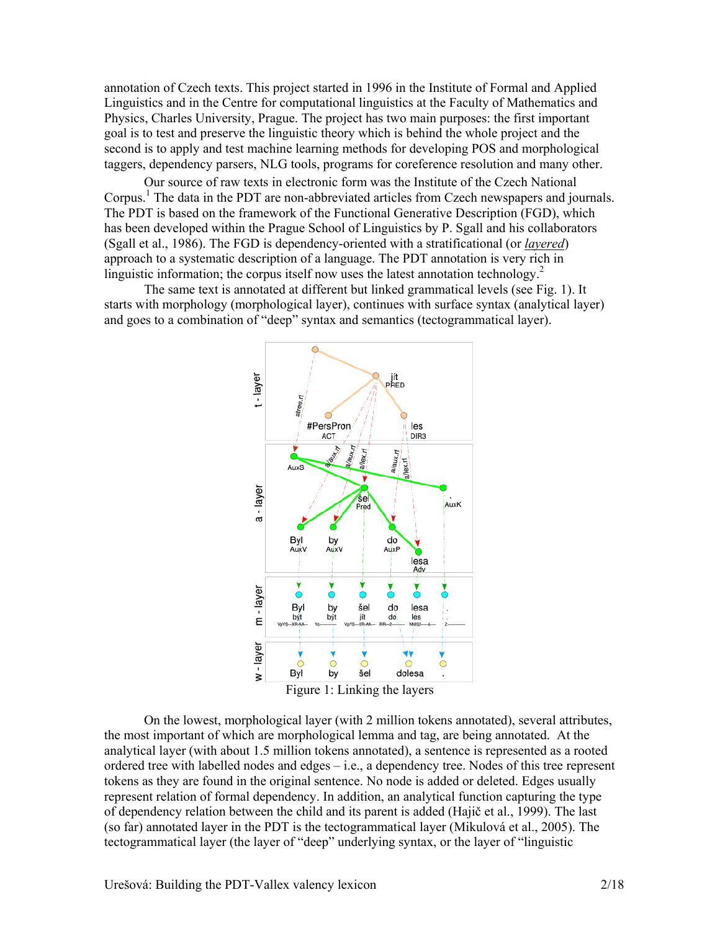annotation of Czech texts. This project started in 1996 in the Institute of Formal and Applied Linguistics and in the Centre for computational linguistics at the Faculty of Mathematics and Physics, Charles University, Prague. The project has two main purposes: the first important goal is to test and preserve the linguistic theory which is behind the whole project and the second is to apply and test machine learning methods for developing POS and morphological taggers, dependency parsers, NLG tools, programs for coreference resolution and many other.

Our source of raw texts in electronic form was the Institute of the Czech National Corpus.<sup>1</sup> The data in the PDT are non-abbreviated articles from Czech newspapers and journals. The PDT is based on the framework of the Functional Generative Description (FGD), which has been developed within the Prague School of Linguistics by P. Sgall and his collaborators (Sgall et al., 1986). The FGD is dependency-oriented with a stratificational (or *layered*) approach to a systematic description of a language. The PDT annotation is very rich in linguistic information; the corpus itself now uses the latest annotation technology.<sup>2</sup>

The same text is annotated at different but linked grammatical levels (see Fig. 1). It starts with morphology (morphological layer), continues with surface syntax (analytical layer) and goes to a combination of "deep" syntax and semantics (tectogrammatical layer).



On the lowest, morphological layer (with 2 million tokens annotated), several attributes, the most important of which are morphological lemma and tag, are being annotated. At the analytical layer (with about 1.5 million tokens annotated), a sentence is represented as a rooted ordered tree with labelled nodes and edges  $-i.e.,$  a dependency tree. Nodes of this tree represent tokens as they are found in the original sentence. No node is added or deleted. Edges usually represent relation of formal dependency. In addition, an analytical function capturing the type of dependency relation between the child and its parent is added (Hajič et al., 1999). The last (so far) annotated layer in the PDT is the tectogrammatical layer (Mikulová et al., 2005). The tectogrammatical layer (the layer of "deep" underlying syntax, or the layer of "linguistic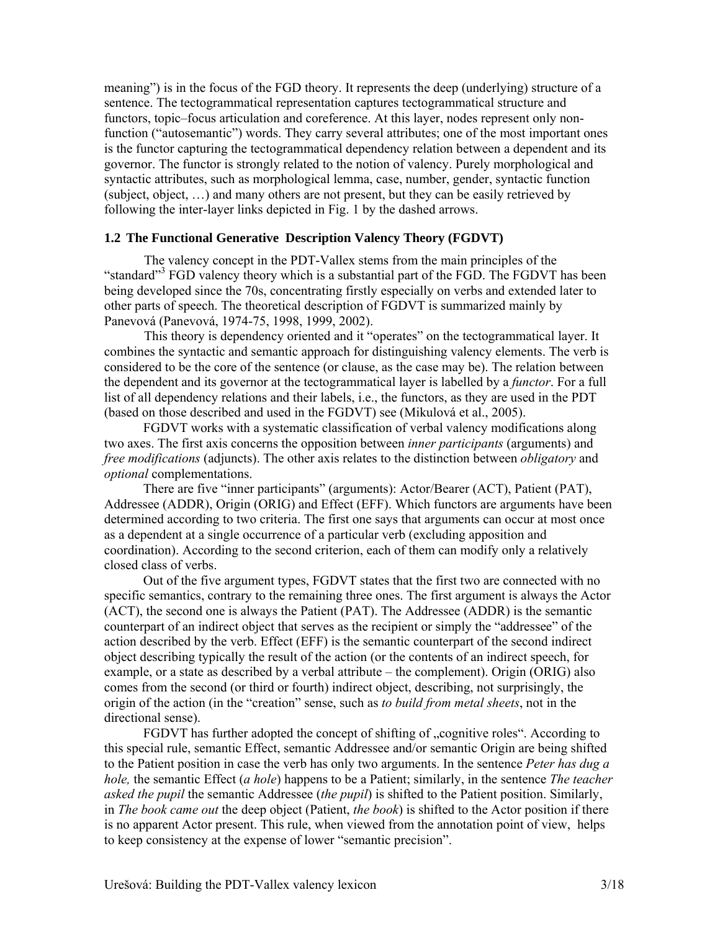meaning") is in the focus of the FGD theory. It represents the deep (underlying) structure of a sentence. The tectogrammatical representation captures tectogrammatical structure and functors, topic–focus articulation and coreference. At this layer, nodes represent only nonfunction ("autosemantic") words. They carry several attributes; one of the most important ones is the functor capturing the tectogrammatical dependency relation between a dependent and its governor. The functor is strongly related to the notion of valency. Purely morphological and syntactic attributes, such as morphological lemma, case, number, gender, syntactic function (subject, object, …) and many others are not present, but they can be easily retrieved by following the inter-layer links depicted in Fig. 1 by the dashed arrows.

#### **1.2 The Functional Generative Description Valency Theory (FGDVT)**

The valency concept in the PDT-Vallex stems from the main principles of the "standard"<sup>3</sup> FGD valency theory which is a substantial part of the FGD. The FGDVT has been being developed since the 70s, concentrating firstly especially on verbs and extended later to other parts of speech. The theoretical description of FGDVT is summarized mainly by Panevová (Panevová, 1974-75, 1998, 1999, 2002).

This theory is dependency oriented and it "operates" on the tectogrammatical layer. It combines the syntactic and semantic approach for distinguishing valency elements. The verb is considered to be the core of the sentence (or clause, as the case may be). The relation between the dependent and its governor at the tectogrammatical layer is labelled by a *functor*. For a full list of all dependency relations and their labels, i.e., the functors, as they are used in the PDT (based on those described and used in the FGDVT) see (Mikulová et al., 2005).

FGDVT works with a systematic classification of verbal valency modifications along two axes. The first axis concerns the opposition between *inner participants* (arguments) and *free modifications* (adjuncts). The other axis relates to the distinction between *obligatory* and *optional* complementations.

There are five "inner participants" (arguments): Actor/Bearer (ACT), Patient (PAT), Addressee (ADDR), Origin (ORIG) and Effect (EFF). Which functors are arguments have been determined according to two criteria. The first one says that arguments can occur at most once as a dependent at a single occurrence of a particular verb (excluding apposition and coordination). According to the second criterion, each of them can modify only a relatively closed class of verbs.

Out of the five argument types, FGDVT states that the first two are connected with no specific semantics, contrary to the remaining three ones. The first argument is always the Actor (ACT), the second one is always the Patient (PAT). The Addressee (ADDR) is the semantic counterpart of an indirect object that serves as the recipient or simply the "addressee" of the action described by the verb. Effect (EFF) is the semantic counterpart of the second indirect object describing typically the result of the action (or the contents of an indirect speech, for example, or a state as described by a verbal attribute – the complement). Origin (ORIG) also comes from the second (or third or fourth) indirect object, describing, not surprisingly, the origin of the action (in the "creation" sense, such as *to build from metal sheets*, not in the directional sense).

FGDVT has further adopted the concept of shifting of "cognitive roles". According to this special rule, semantic Effect, semantic Addressee and/or semantic Origin are being shifted to the Patient position in case the verb has only two arguments. In the sentence *Peter has dug a hole,* the semantic Effect (*a hole*) happens to be a Patient; similarly, in the sentence *The teacher asked the pupil* the semantic Addressee (*the pupil*) is shifted to the Patient position. Similarly, in *The book came out* the deep object (Patient, *the book*) is shifted to the Actor position if there is no apparent Actor present. This rule, when viewed from the annotation point of view, helps to keep consistency at the expense of lower "semantic precision".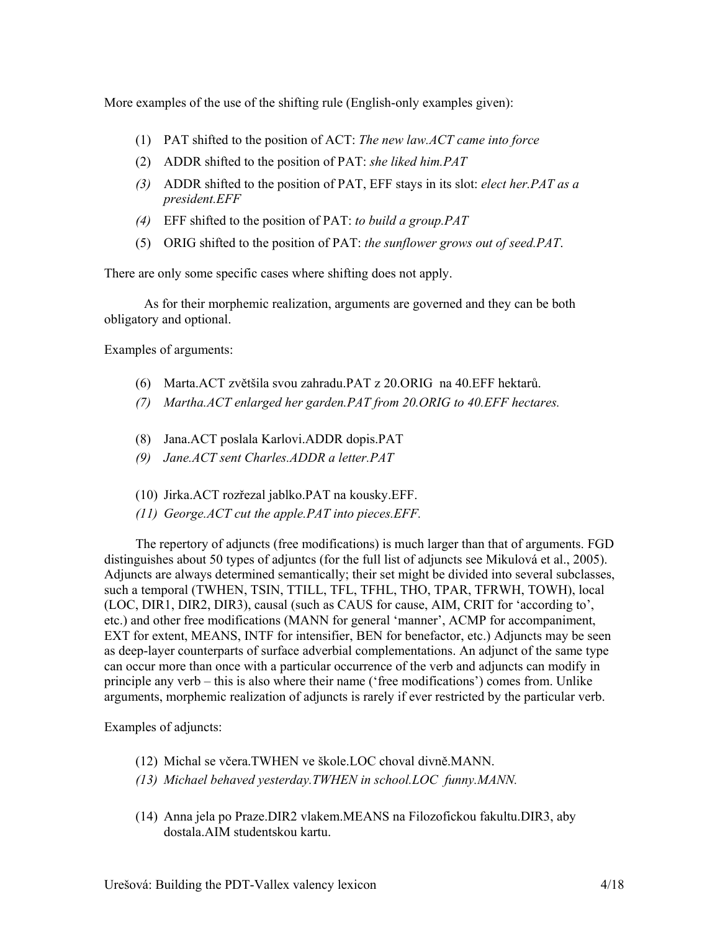More examples of the use of the shifting rule (English-only examples given):

- (1) PAT shifted to the position of ACT: *The new law.ACT came into force*
- (2) ADDR shifted to the position of PAT: *she liked him.PAT*
- *(3)* ADDR shifted to the position of PAT, EFF stays in its slot: *elect her.PAT as a president.EFF*
- *(4)* EFF shifted to the position of PAT: *to build a group.PAT*
- (5) ORIG shifted to the position of PAT: *the sunflower grows out of seed.PAT*.

There are only some specific cases where shifting does not apply.

As for their morphemic realization, arguments are governed and they can be both obligatory and optional.

Examples of arguments:

- (6) Marta.ACT zvětšila svou zahradu.PAT z 20.ORIG na 40.EFF hektarů.
- *(7) Martha.ACT enlarged her garden.PAT from 20.ORIG to 40.EFF hectares.*
- (8) Jana.ACT poslala Karlovi.ADDR dopis.PAT
- *(9) Jane.ACT sent Charles.ADDR a letter.PAT*
- (10) Jirka.ACT rozřezal jablko.PAT na kousky.EFF.
- *(11) George.ACT cut the apple.PAT into pieces.EFF.*

The repertory of adjuncts (free modifications) is much larger than that of arguments. FGD distinguishes about 50 types of adjuntes (for the full list of adjuncts see Mikulová et al., 2005). Adjuncts are always determined semantically; their set might be divided into several subclasses, such a temporal (TWHEN, TSIN, TTILL, TFL, TFHL, THO, TPAR, TFRWH, TOWH), local (LOC, DIR1, DIR2, DIR3), causal (such as CAUS for cause, AIM, CRIT for 'according to', etc.) and other free modifications (MANN for general 'manner', ACMP for accompaniment, EXT for extent, MEANS, INTF for intensifier, BEN for benefactor, etc.) Adjuncts may be seen as deep-layer counterparts of surface adverbial complementations. An adjunct of the same type can occur more than once with a particular occurrence of the verb and adjuncts can modify in principle any verb – this is also where their name ('free modifications') comes from. Unlike arguments, morphemic realization of adjuncts is rarely if ever restricted by the particular verb.

Examples of adjuncts:

- (12) Michal se včera.TWHEN ve škole.LOC choval divně.MANN.
- *(13) Michael behaved yesterday.TWHEN in school.LOC funny.MANN.*
- (14) Anna jela po Praze.DIR2 vlakem.MEANS na Filozofickou fakultu.DIR3, aby dostala.AIM studentskou kartu.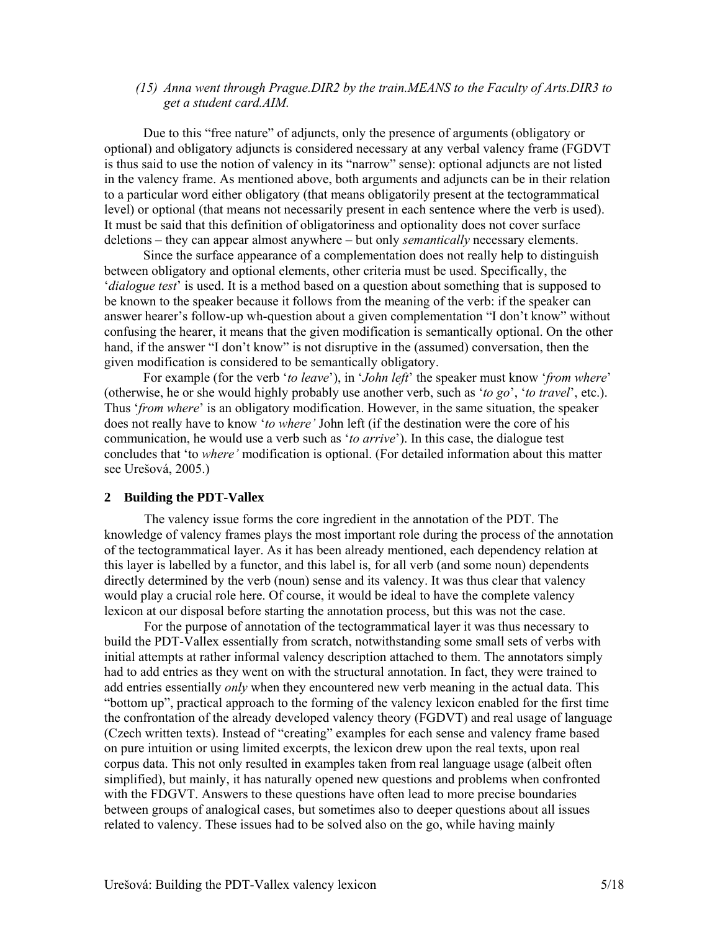# *(15) Anna went through Prague.DIR2 by the train.MEANS to the Faculty of Arts.DIR3 to get a student card.AIM.*

Due to this "free nature" of adjuncts, only the presence of arguments (obligatory or optional) and obligatory adjuncts is considered necessary at any verbal valency frame (FGDVT is thus said to use the notion of valency in its "narrow" sense): optional adjuncts are not listed in the valency frame. As mentioned above, both arguments and adjuncts can be in their relation to a particular word either obligatory (that means obligatorily present at the tectogrammatical level) or optional (that means not necessarily present in each sentence where the verb is used). It must be said that this definition of obligatoriness and optionality does not cover surface deletions – they can appear almost anywhere – but only *semantically* necessary elements.

Since the surface appearance of a complementation does not really help to distinguish between obligatory and optional elements, other criteria must be used. Specifically, the '*dialogue test*' is used. It is a method based on a question about something that is supposed to be known to the speaker because it follows from the meaning of the verb: if the speaker can answer hearer's follow-up wh-question about a given complementation "I don't know" without confusing the hearer, it means that the given modification is semantically optional. On the other hand, if the answer "I don't know" is not disruptive in the (assumed) conversation, then the given modification is considered to be semantically obligatory.

For example (for the verb '*to leave*'), in '*John left*' the speaker must know '*from where*' (otherwise, he or she would highly probably use another verb, such as '*to go*', '*to travel*', etc.). Thus '*from where*' is an obligatory modification. However, in the same situation, the speaker does not really have to know '*to where'* John left (if the destination were the core of his communication, he would use a verb such as '*to arrive*'). In this case, the dialogue test concludes that 'to *where'* modification is optional. (For detailed information about this matter see Urešová, 2005.)

# **2 Building the PDT-Vallex**

The valency issue forms the core ingredient in the annotation of the PDT. The knowledge of valency frames plays the most important role during the process of the annotation of the tectogrammatical layer. As it has been already mentioned, each dependency relation at this layer is labelled by a functor, and this label is, for all verb (and some noun) dependents directly determined by the verb (noun) sense and its valency. It was thus clear that valency would play a crucial role here. Of course, it would be ideal to have the complete valency lexicon at our disposal before starting the annotation process, but this was not the case.

For the purpose of annotation of the tectogrammatical layer it was thus necessary to build the PDT-Vallex essentially from scratch, notwithstanding some small sets of verbs with initial attempts at rather informal valency description attached to them. The annotators simply had to add entries as they went on with the structural annotation. In fact, they were trained to add entries essentially *only* when they encountered new verb meaning in the actual data. This "bottom up", practical approach to the forming of the valency lexicon enabled for the first time the confrontation of the already developed valency theory (FGDVT) and real usage of language (Czech written texts). Instead of "creating" examples for each sense and valency frame based on pure intuition or using limited excerpts, the lexicon drew upon the real texts, upon real corpus data. This not only resulted in examples taken from real language usage (albeit often simplified), but mainly, it has naturally opened new questions and problems when confronted with the FDGVT. Answers to these questions have often lead to more precise boundaries between groups of analogical cases, but sometimes also to deeper questions about all issues related to valency. These issues had to be solved also on the go, while having mainly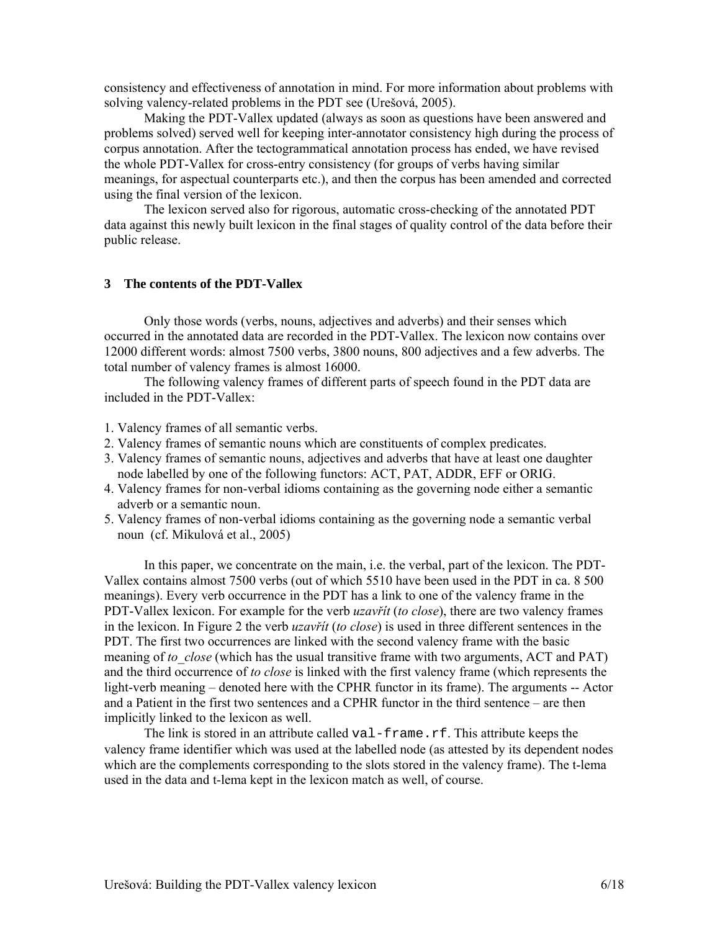consistency and effectiveness of annotation in mind. For more information about problems with solving valency-related problems in the PDT see (Urešová, 2005).

Making the PDT-Vallex updated (always as soon as questions have been answered and problems solved) served well for keeping inter-annotator consistency high during the process of corpus annotation. After the tectogrammatical annotation process has ended, we have revised the whole PDT-Vallex for cross-entry consistency (for groups of verbs having similar meanings, for aspectual counterparts etc.), and then the corpus has been amended and corrected using the final version of the lexicon.

The lexicon served also for rigorous, automatic cross-checking of the annotated PDT data against this newly built lexicon in the final stages of quality control of the data before their public release.

# **3 The contents of the PDT-Vallex**

Only those words (verbs, nouns, adjectives and adverbs) and their senses which occurred in the annotated data are recorded in the PDT-Vallex. The lexicon now contains over 12000 different words: almost 7500 verbs, 3800 nouns, 800 adjectives and a few adverbs. The total number of valency frames is almost 16000.

The following valency frames of different parts of speech found in the PDT data are included in the PDT-Vallex:

1. Valency frames of all semantic verbs.

- 2. Valency frames of semantic nouns which are constituents of complex predicates.
- 3. Valency frames of semantic nouns, adjectives and adverbs that have at least one daughter node labelled by one of the following functors: ACT, PAT, ADDR, EFF or ORIG.
- 4. Valency frames for non-verbal idioms containing as the governing node either a semantic adverb or a semantic noun.
- 5. Valency frames of non-verbal idioms containing as the governing node a semantic verbal noun (cf. Mikulová et al., 2005)

In this paper, we concentrate on the main, i.e. the verbal, part of the lexicon. The PDT-Vallex contains almost 7500 verbs (out of which 5510 have been used in the PDT in ca. 8 500 meanings). Every verb occurrence in the PDT has a link to one of the valency frame in the PDT-Vallex lexicon. For example for the verb *uzavřít* (*to close*), there are two valency frames in the lexicon. In Figure 2 the verb *uzavřít* (*to close*) is used in three different sentences in the PDT. The first two occurrences are linked with the second valency frame with the basic meaning of *to\_close* (which has the usual transitive frame with two arguments, ACT and PAT) and the third occurrence of *to close* is linked with the first valency frame (which represents the light-verb meaning – denoted here with the CPHR functor in its frame). The arguments -- Actor and a Patient in the first two sentences and a CPHR functor in the third sentence – are then implicitly linked to the lexicon as well.

The link is stored in an attribute called val-frame.rf. This attribute keeps the valency frame identifier which was used at the labelled node (as attested by its dependent nodes which are the complements corresponding to the slots stored in the valency frame). The t-lema used in the data and t-lema kept in the lexicon match as well, of course.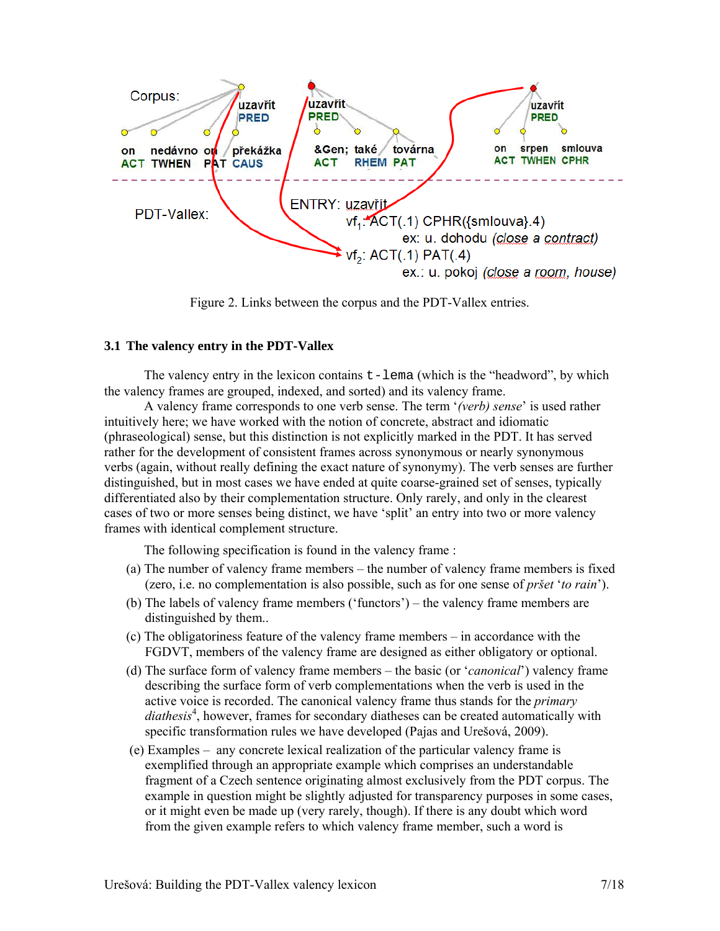

Figure 2. Links between the corpus and the PDT-Vallex entries.

# **3.1 The valency entry in the PDT-Vallex**

The valency entry in the lexicon contains  $t$ -lema (which is the "headword", by which the valency frames are grouped, indexed, and sorted) and its valency frame.

A valency frame corresponds to one verb sense. The term '*(verb) sense*' is used rather intuitively here; we have worked with the notion of concrete, abstract and idiomatic (phraseological) sense, but this distinction is not explicitly marked in the PDT. It has served rather for the development of consistent frames across synonymous or nearly synonymous verbs (again, without really defining the exact nature of synonymy). The verb senses are further distinguished, but in most cases we have ended at quite coarse-grained set of senses, typically differentiated also by their complementation structure. Only rarely, and only in the clearest cases of two or more senses being distinct, we have 'split' an entry into two or more valency frames with identical complement structure.

The following specification is found in the valency frame :

- (a) The number of valency frame members the number of valency frame members is fixed (zero, i.e. no complementation is also possible, such as for one sense of *pršet* '*to rain*').
- (b) The labels of valency frame members ('functors') the valency frame members are distinguished by them..
- (c) The obligatoriness feature of the valency frame members in accordance with the FGDVT, members of the valency frame are designed as either obligatory or optional.
- (d) The surface form of valency frame members the basic (or '*canonical*') valency frame describing the surface form of verb complementations when the verb is used in the active voice is recorded. The canonical valency frame thus stands for the *primary*  diathesis<sup>4</sup>, however, frames for secondary diatheses can be created automatically with specific transformation rules we have developed (Pajas and Urešová, 2009).
- (e) Examples any concrete lexical realization of the particular valency frame is exemplified through an appropriate example which comprises an understandable fragment of a Czech sentence originating almost exclusively from the PDT corpus. The example in question might be slightly adjusted for transparency purposes in some cases, or it might even be made up (very rarely, though). If there is any doubt which word from the given example refers to which valency frame member, such a word is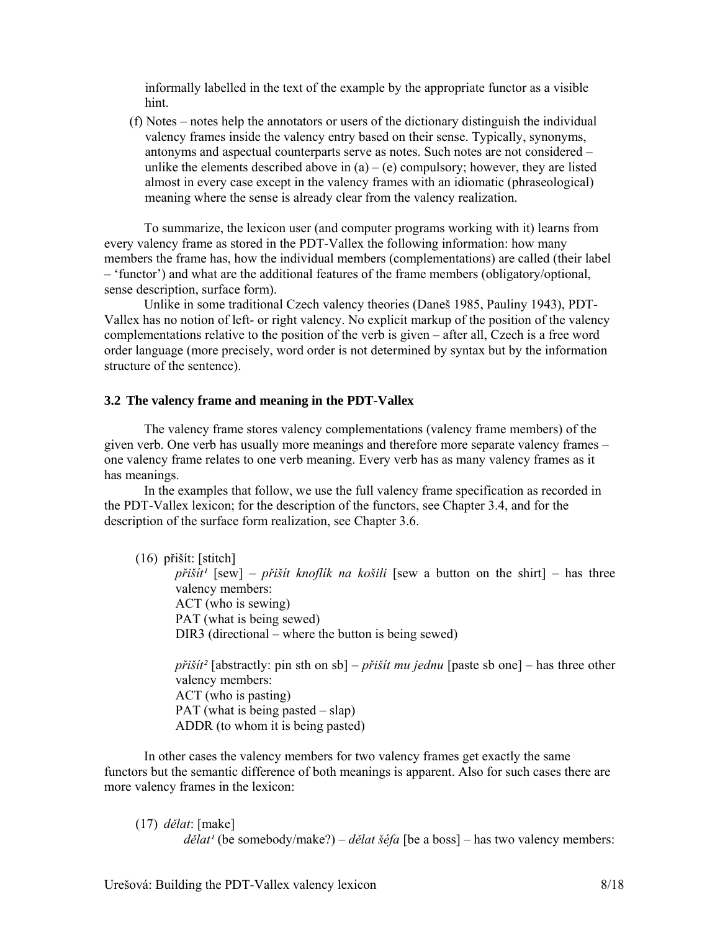informally labelled in the text of the example by the appropriate functor as a visible hint.

 (f) Notes – notes help the annotators or users of the dictionary distinguish the individual valency frames inside the valency entry based on their sense. Typically, synonyms, antonyms and aspectual counterparts serve as notes. Such notes are not considered – unlike the elements described above in  $(a) - (e)$  compulsory; however, they are listed almost in every case except in the valency frames with an idiomatic (phraseological) meaning where the sense is already clear from the valency realization.

To summarize, the lexicon user (and computer programs working with it) learns from every valency frame as stored in the PDT-Vallex the following information: how many members the frame has, how the individual members (complementations) are called (their label – 'functor') and what are the additional features of the frame members (obligatory/optional, sense description, surface form).

Unlike in some traditional Czech valency theories (Daneš 1985, Pauliny 1943), PDT-Vallex has no notion of left- or right valency. No explicit markup of the position of the valency complementations relative to the position of the verb is given – after all, Czech is a free word order language (more precisely, word order is not determined by syntax but by the information structure of the sentence).

### **3.2 The valency frame and meaning in the PDT-Vallex**

The valency frame stores valency complementations (valency frame members) of the given verb. One verb has usually more meanings and therefore more separate valency frames – one valency frame relates to one verb meaning. Every verb has as many valency frames as it has meanings.

In the examples that follow, we use the full valency frame specification as recorded in the PDT-Vallex lexicon; for the description of the functors, see Chapter 3.4, and for the description of the surface form realization, see Chapter 3.6.

(16) přišít: [stitch]

 $p\tilde{r}$ *išít<sup>1</sup>* [sew] – *přišít knoflík na košili* [sew a button on the shirt] – has three valency members: ACT (who is sewing) PAT (what is being sewed) DIR3 (directional – where the button is being sewed)

*přišít²* [abstractly: pin sth on sb] – *přišít mu jednu* [paste sb one] – has three other valency members: ACT (who is pasting) PAT (what is being pasted – slap) ADDR (to whom it is being pasted)

In other cases the valency members for two valency frames get exactly the same functors but the semantic difference of both meanings is apparent. Also for such cases there are more valency frames in the lexicon:

(17) *dělat*: [make]  $d\check{e}$ *lat<sup>1</sup>* (be somebody/make?) –  $d\check{e}$ *lat šéfa* [be a boss] – has two valency members: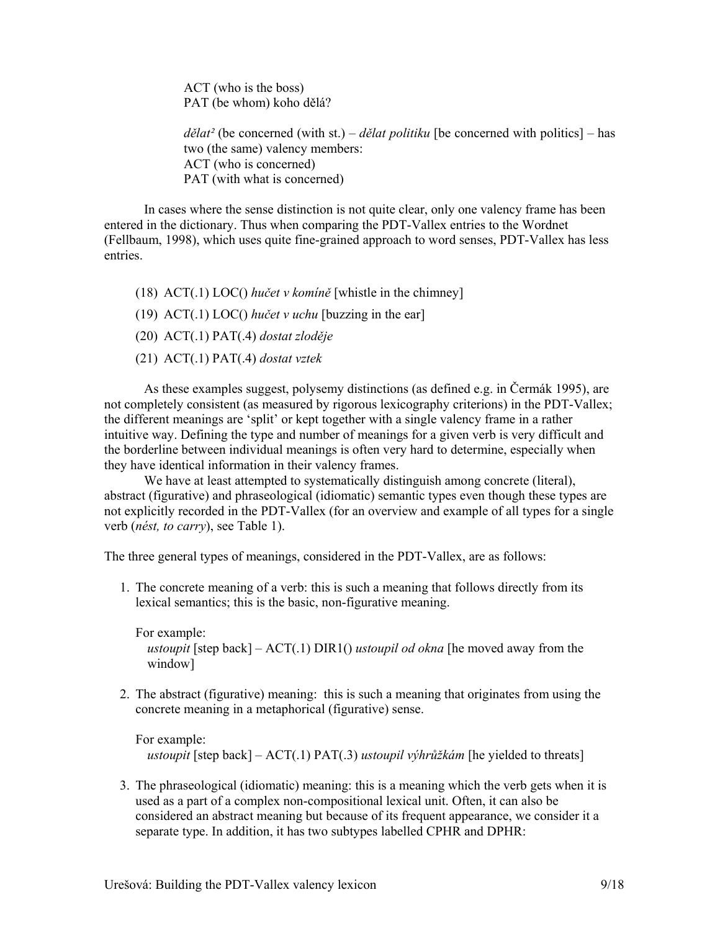ACT (who is the boss) PAT (be whom) koho dělá?

*dělat²* (be concerned (with st.) – *dělat politiku* [be concerned with politics] – has two (the same) valency members: ACT (who is concerned) PAT (with what is concerned)

In cases where the sense distinction is not quite clear, only one valency frame has been entered in the dictionary. Thus when comparing the PDT-Vallex entries to the Wordnet (Fellbaum, 1998), which uses quite fine-grained approach to word senses, PDT-Vallex has less entries.

- (18) ACT(.1) LOC() *hučet v komíně* [whistle in the chimney]
- (19)  $\text{ACT}(1) \text{ LOC}($ ) *hučet v uchu* [buzzing in the ear]
- (20) ACT(.1) PAT(.4) *dostat zloděje*
- (21) ACT(.1) PAT(.4) *dostat vztek*

As these examples suggest, polysemy distinctions (as defined e.g. in Čermák 1995), are not completely consistent (as measured by rigorous lexicography criterions) in the PDT-Vallex; the different meanings are 'split' or kept together with a single valency frame in a rather intuitive way. Defining the type and number of meanings for a given verb is very difficult and the borderline between individual meanings is often very hard to determine, especially when they have identical information in their valency frames.

We have at least attempted to systematically distinguish among concrete (literal), abstract (figurative) and phraseological (idiomatic) semantic types even though these types are not explicitly recorded in the PDT-Vallex (for an overview and example of all types for a single verb (*nést, to carry*), see Table 1).

The three general types of meanings, considered in the PDT-Vallex, are as follows:

1. The concrete meaning of a verb: this is such a meaning that follows directly from its lexical semantics; this is the basic, non-figurative meaning.

For example:  *ustoupit* [step back] – ACT(.1) DIR1() *ustoupil od okna* [he moved away from the window]

2. The abstract (figurative) meaning: this is such a meaning that originates from using the concrete meaning in a metaphorical (figurative) sense.

For example:  *ustoupit* [step back] – ACT(.1) PAT(.3) *ustoupil výhrůžkám* [he yielded to threats]

3. The phraseological (idiomatic) meaning: this is a meaning which the verb gets when it is used as a part of a complex non-compositional lexical unit. Often, it can also be considered an abstract meaning but because of its frequent appearance, we consider it a separate type. In addition, it has two subtypes labelled CPHR and DPHR: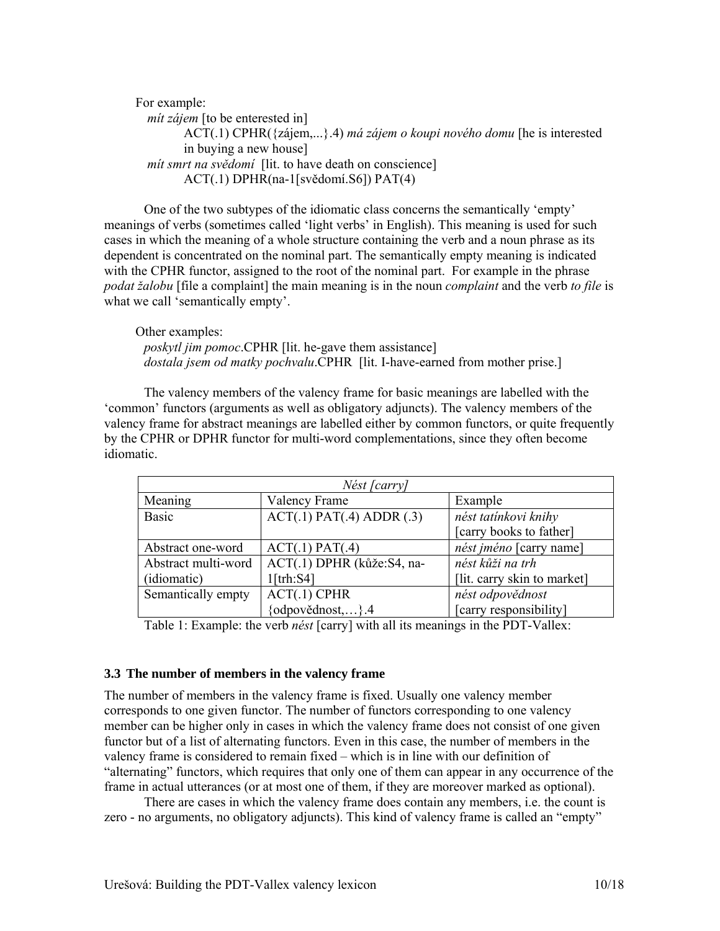For example:  *mít zájem* [to be enterested in] ACT(.1) CPHR({zájem,...}.4) *má zájem o koupi nového domu* [he is interested in buying a new house]  *mít smrt na svědomí* [lit. to have death on conscience] ACT(.1) DPHR(na-1[svědomí.S6]) PAT(4)

One of the two subtypes of the idiomatic class concerns the semantically 'empty' meanings of verbs (sometimes called 'light verbs' in English). This meaning is used for such cases in which the meaning of a whole structure containing the verb and a noun phrase as its dependent is concentrated on the nominal part. The semantically empty meaning is indicated with the CPHR functor, assigned to the root of the nominal part. For example in the phrase *podat žalobu* [file a complaint] the main meaning is in the noun *complaint* and the verb *to file* is what we call 'semantically empty'.

Other examples: *poskytl jim pomoc*.CPHR [lit. he-gave them assistance] *dostala jsem od matky pochvalu*.CPHR [lit. I-have-earned from mother prise.]

The valency members of the valency frame for basic meanings are labelled with the 'common' functors (arguments as well as obligatory adjuncts). The valency members of the valency frame for abstract meanings are labelled either by common functors, or quite frequently by the CPHR or DPHR functor for multi-word complementations, since they often become idiomatic.

| Nést [carry]        |                                |                             |  |
|---------------------|--------------------------------|-----------------------------|--|
| Meaning             | Valency Frame                  | Example                     |  |
| <b>Basic</b>        | $ACT(.1)$ $PAT(.4)$ $ADDR(.3)$ | nést tatínkovi knihy        |  |
|                     |                                | [carry books to father]     |  |
| Abstract one-word   | $ACT(.1)$ $PAT(.4)$            | nést jméno [carry name]     |  |
| Abstract multi-word | ACT(.1) DPHR (kůže:S4, na-     | nést kůži na trh            |  |
| (idiomatic)         | $1$ [trh:S4]                   | [lit. carry skin to market] |  |
| Semantically empty  | $ACT(.1)$ CPHR                 | nést odpovědnost            |  |
|                     | $\{odpov\check{e}dnost,\}$ .4  | [carry responsibility]      |  |
| $\sim$<br>-----     |                                | .                           |  |

Table 1: Example: the verb *nést* [carry] with all its meanings in the PDT-Vallex:

#### **3.3 The number of members in the valency frame**

The number of members in the valency frame is fixed. Usually one valency member corresponds to one given functor. The number of functors corresponding to one valency member can be higher only in cases in which the valency frame does not consist of one given functor but of a list of alternating functors. Even in this case, the number of members in the valency frame is considered to remain fixed – which is in line with our definition of "alternating" functors, which requires that only one of them can appear in any occurrence of the frame in actual utterances (or at most one of them, if they are moreover marked as optional).

There are cases in which the valency frame does contain any members, i.e. the count is zero - no arguments, no obligatory adjuncts). This kind of valency frame is called an "empty"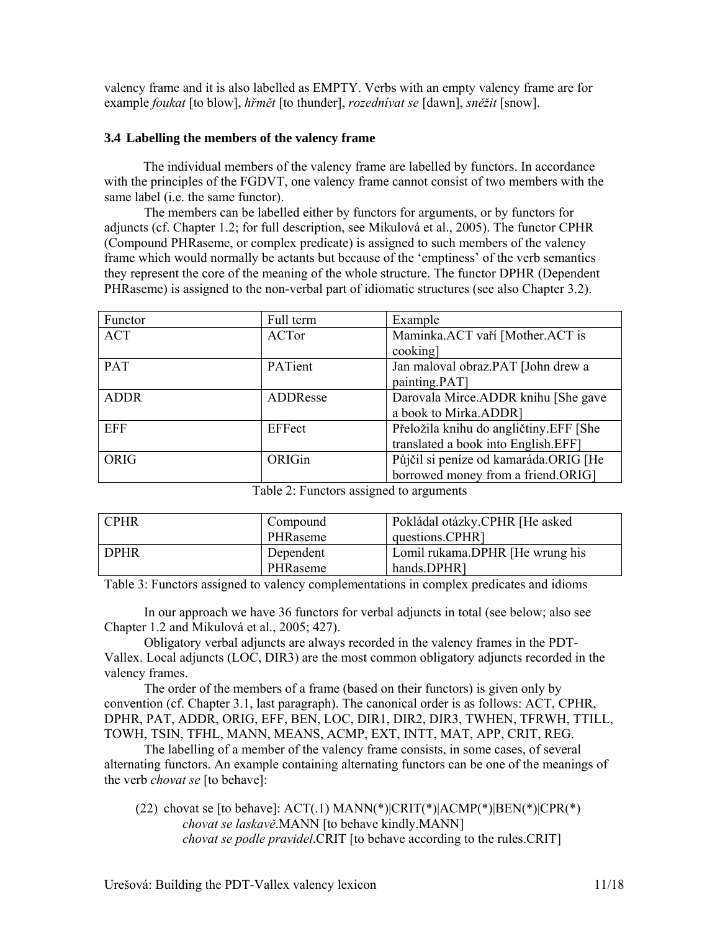valency frame and it is also labelled as EMPTY. Verbs with an empty valency frame are for example *foukat* [to blow], *hřmět* [to thunder], *rozednívat se* [dawn], *sněžit* [snow].

# **3.4 Labelling the members of the valency frame**

The individual members of the valency frame are labelled by functors. In accordance with the principles of the FGDVT, one valency frame cannot consist of two members with the same label (i.e. the same functor).

 The members can be labelled either by functors for arguments, or by functors for adjuncts (cf. Chapter 1.2; for full description, see Mikulová et al., 2005). The functor CPHR (Compound PHRaseme, or complex predicate) is assigned to such members of the valency frame which would normally be actants but because of the 'emptiness' of the verb semantics they represent the core of the meaning of the whole structure. The functor DPHR (Dependent PHRaseme) is assigned to the non-verbal part of idiomatic structures (see also Chapter 3.2).

| Functor     | Full term | Example                                |
|-------------|-----------|----------------------------------------|
| <b>ACT</b>  | ACTor     | Maminka.ACT vaří [Mother.ACT is        |
|             |           | cooking]                               |
| PAT         | PATient   | Jan maloval obraz.PAT [John drew a     |
|             |           | painting.PAT]                          |
| <b>ADDR</b> | ADDResse  | Darovala Mirce.ADDR knihu [She gave    |
|             |           | a book to Mirka.ADDR]                  |
| <b>EFF</b>  | EFFect    | Přeložila knihu do angličtiny.EFF [She |
|             |           | translated a book into English.EFF]    |
| <b>ORIG</b> | ORIGin    | Půjčil si peníze od kamaráda.ORIG [He  |
|             |           | borrowed money from a friend.ORIG]     |

Table 2: Functors assigned to arguments

| <b>CPHR</b> | Compound  | Pokládal otázky.CPHR [He asked] |
|-------------|-----------|---------------------------------|
|             | PHRaseme  | questions.CPHR]                 |
| I DPHR      | Dependent | Lomil rukama.DPHR [He wrung his |
|             | PHRaseme  | hands.DPHR]                     |

Table 3: Functors assigned to valency complementations in complex predicates and idioms

In our approach we have 36 functors for verbal adjuncts in total (see below; also see Chapter 1.2 and Mikulová et al., 2005; 427).

Obligatory verbal adjuncts are always recorded in the valency frames in the PDT-Vallex. Local adjuncts (LOC, DIR3) are the most common obligatory adjuncts recorded in the valency frames.

The order of the members of a frame (based on their functors) is given only by convention (cf. Chapter 3.1, last paragraph). The canonical order is as follows: ACT, CPHR, DPHR, PAT, ADDR, ORIG, EFF, BEN, LOC, DIR1, DIR2, DIR3, TWHEN, TFRWH, TTILL, TOWH, TSIN, TFHL, MANN, MEANS, ACMP, EXT, INTT, MAT, APP, CRIT, REG.

The labelling of a member of the valency frame consists, in some cases, of several alternating functors. An example containing alternating functors can be one of the meanings of the verb *chovat se* [to behave]:

(22) chovat se [to behave]:  $ACT(.1)$  MANN(\*) $|CRIT(*)|ACMP(*)|BEN(*)|CPR(*)$ *chovat se laskavě*.MANN [to behave kindly.MANN] *chovat se podle pravidel*.CRIT [to behave according to the rules.CRIT]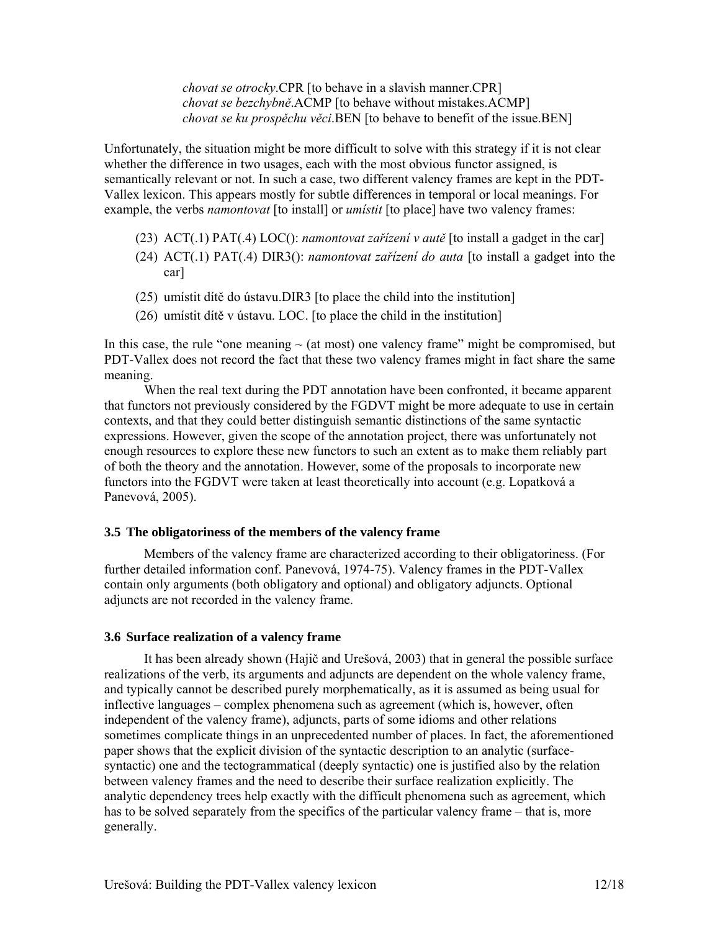*chovat se otrocky*.CPR [to behave in a slavish manner.CPR] *chovat se bezchybně*.ACMP [to behave without mistakes.ACMP] *chovat se ku prospěchu věci*.BEN [to behave to benefit of the issue.BEN]

Unfortunately, the situation might be more difficult to solve with this strategy if it is not clear whether the difference in two usages, each with the most obvious functor assigned, is semantically relevant or not. In such a case, two different valency frames are kept in the PDT-Vallex lexicon. This appears mostly for subtle differences in temporal or local meanings. For example, the verbs *namontovat* [to install] or *umístit* [to place] have two valency frames:

- (23) ACT(.1) PAT(.4) LOC(): *namontovat zařízení v autě* [to install a gadget in the car]
- (24) ACT(.1) PAT(.4) DIR3(): *namontovat zařízení do auta* [to install a gadget into the car]
- (25) umístit dítě do ústavu.DIR3 [to place the child into the institution]
- (26) umístit dítě v ústavu. LOC. [to place the child in the institution]

In this case, the rule "one meaning  $\sim$  (at most) one valency frame" might be compromised, but PDT-Vallex does not record the fact that these two valency frames might in fact share the same meaning.

When the real text during the PDT annotation have been confronted, it became apparent that functors not previously considered by the FGDVT might be more adequate to use in certain contexts, and that they could better distinguish semantic distinctions of the same syntactic expressions. However, given the scope of the annotation project, there was unfortunately not enough resources to explore these new functors to such an extent as to make them reliably part of both the theory and the annotation. However, some of the proposals to incorporate new functors into the FGDVT were taken at least theoretically into account (e.g. Lopatková a Panevová, 2005).

# **3.5 The obligatoriness of the members of the valency frame**

Members of the valency frame are characterized according to their obligatoriness. (For further detailed information conf. Panevová, 1974-75). Valency frames in the PDT-Vallex contain only arguments (both obligatory and optional) and obligatory adjuncts. Optional adjuncts are not recorded in the valency frame.

#### **3.6 Surface realization of a valency frame**

It has been already shown (Hajič and Urešová, 2003) that in general the possible surface realizations of the verb, its arguments and adjuncts are dependent on the whole valency frame, and typically cannot be described purely morphematically, as it is assumed as being usual for inflective languages – complex phenomena such as agreement (which is, however, often independent of the valency frame), adjuncts, parts of some idioms and other relations sometimes complicate things in an unprecedented number of places. In fact, the aforementioned paper shows that the explicit division of the syntactic description to an analytic (surfacesyntactic) one and the tectogrammatical (deeply syntactic) one is justified also by the relation between valency frames and the need to describe their surface realization explicitly. The analytic dependency trees help exactly with the difficult phenomena such as agreement, which has to be solved separately from the specifics of the particular valency frame – that is, more generally.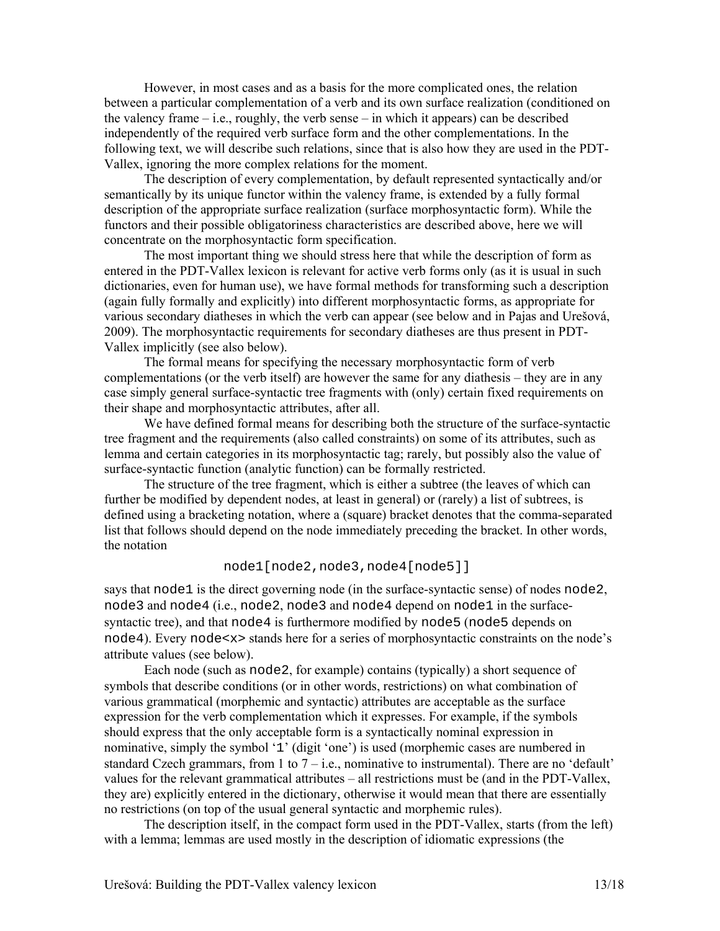However, in most cases and as a basis for the more complicated ones, the relation between a particular complementation of a verb and its own surface realization (conditioned on the valency frame  $-i.e.,$  roughly, the verb sense  $-i$  in which it appears) can be described independently of the required verb surface form and the other complementations. In the following text, we will describe such relations, since that is also how they are used in the PDT-Vallex, ignoring the more complex relations for the moment.

The description of every complementation, by default represented syntactically and/or semantically by its unique functor within the valency frame, is extended by a fully formal description of the appropriate surface realization (surface morphosyntactic form). While the functors and their possible obligatoriness characteristics are described above, here we will concentrate on the morphosyntactic form specification.

The most important thing we should stress here that while the description of form as entered in the PDT-Vallex lexicon is relevant for active verb forms only (as it is usual in such dictionaries, even for human use), we have formal methods for transforming such a description (again fully formally and explicitly) into different morphosyntactic forms, as appropriate for various secondary diatheses in which the verb can appear (see below and in Pajas and Urešová, 2009). The morphosyntactic requirements for secondary diatheses are thus present in PDT-Vallex implicitly (see also below).

The formal means for specifying the necessary morphosyntactic form of verb complementations (or the verb itself) are however the same for any diathesis – they are in any case simply general surface-syntactic tree fragments with (only) certain fixed requirements on their shape and morphosyntactic attributes, after all.

We have defined formal means for describing both the structure of the surface-syntactic tree fragment and the requirements (also called constraints) on some of its attributes, such as lemma and certain categories in its morphosyntactic tag; rarely, but possibly also the value of surface-syntactic function (analytic function) can be formally restricted.

The structure of the tree fragment, which is either a subtree (the leaves of which can further be modified by dependent nodes, at least in general) or (rarely) a list of subtrees, is defined using a bracketing notation, where a (square) bracket denotes that the comma-separated list that follows should depend on the node immediately preceding the bracket. In other words, the notation

### node1[node2,node3,node4[node5]]

says that node1 is the direct governing node (in the surface-syntactic sense) of nodes node2, node3 and node4 (i.e., node2, node3 and node4 depend on node1 in the surfacesyntactic tree), and that node4 is furthermore modified by node5 (node5 depends on node4). Every node<x> stands here for a series of morphosyntactic constraints on the node's attribute values (see below).

Each node (such as node2, for example) contains (typically) a short sequence of symbols that describe conditions (or in other words, restrictions) on what combination of various grammatical (morphemic and syntactic) attributes are acceptable as the surface expression for the verb complementation which it expresses. For example, if the symbols should express that the only acceptable form is a syntactically nominal expression in nominative, simply the symbol '1' (digit 'one') is used (morphemic cases are numbered in standard Czech grammars, from 1 to  $7 - i.e.,$  nominative to instrumental). There are no 'default' values for the relevant grammatical attributes – all restrictions must be (and in the PDT-Vallex, they are) explicitly entered in the dictionary, otherwise it would mean that there are essentially no restrictions (on top of the usual general syntactic and morphemic rules).

The description itself, in the compact form used in the PDT-Vallex, starts (from the left) with a lemma; lemmas are used mostly in the description of idiomatic expressions (the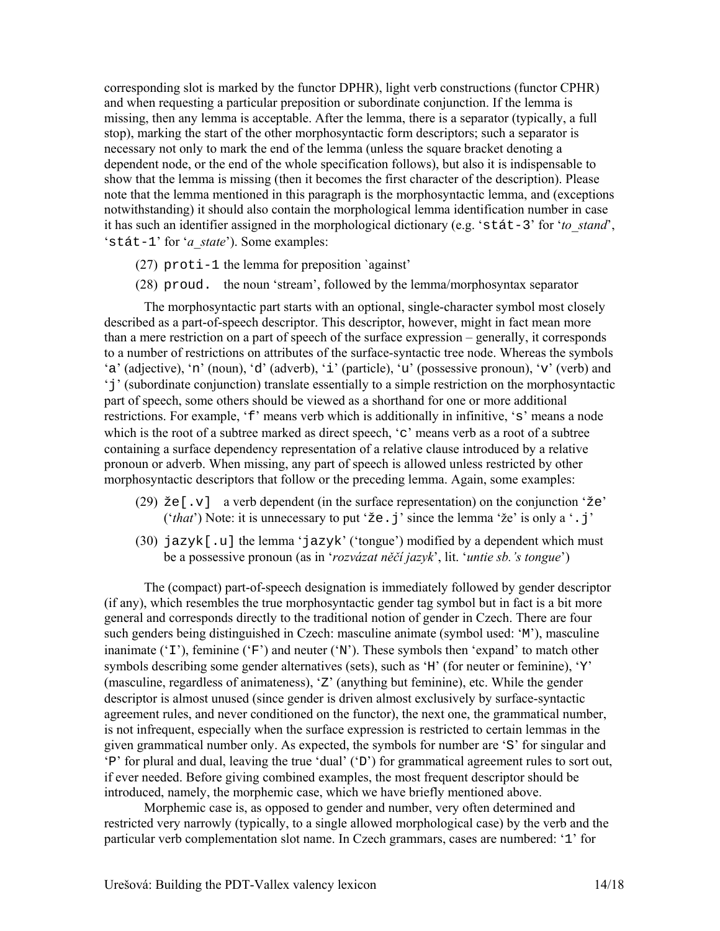corresponding slot is marked by the functor DPHR), light verb constructions (functor CPHR) and when requesting a particular preposition or subordinate conjunction. If the lemma is missing, then any lemma is acceptable. After the lemma, there is a separator (typically, a full stop), marking the start of the other morphosyntactic form descriptors; such a separator is necessary not only to mark the end of the lemma (unless the square bracket denoting a dependent node, or the end of the whole specification follows), but also it is indispensable to show that the lemma is missing (then it becomes the first character of the description). Please note that the lemma mentioned in this paragraph is the morphosyntactic lemma, and (exceptions notwithstanding) it should also contain the morphological lemma identification number in case it has such an identifier assigned in the morphological dictionary (e.g. 'stát-3' for '*to\_stand*', 'stát-1' for '*a\_state*'). Some examples:

- (27) proti-1 the lemma for preposition `against'
- (28) proud. the noun 'stream', followed by the lemma/morphosyntax separator

The morphosyntactic part starts with an optional, single-character symbol most closely described as a part-of-speech descriptor. This descriptor, however, might in fact mean more than a mere restriction on a part of speech of the surface expression – generally, it corresponds to a number of restrictions on attributes of the surface-syntactic tree node. Whereas the symbols 'a' (adjective), 'n' (noun), 'd' (adverb), 'i' (particle), 'u' (possessive pronoun), 'v' (verb) and 'j' (subordinate conjunction) translate essentially to a simple restriction on the morphosyntactic part of speech, some others should be viewed as a shorthand for one or more additional restrictions. For example, 'f' means verb which is additionally in infinitive, 's' means a node which is the root of a subtree marked as direct speech, 'c' means verb as a root of a subtree containing a surface dependency representation of a relative clause introduced by a relative pronoun or adverb. When missing, any part of speech is allowed unless restricted by other morphosyntactic descriptors that follow or the preceding lemma. Again, some examples:

- (29)  $\check{z} \in [\cdot, v]$  a verb dependent (in the surface representation) on the conjunction ' $\check{z}e'$ ' ('*that*') Note: it is unnecessary to put 'že.j' since the lemma 'že' is only a '.j'
- (30)  $jazyk[.u]$  the lemma ' $jazyk'$  ('tongue') modified by a dependent which must be a possessive pronoun (as in '*rozvázat něčí jazyk*', lit. '*untie sb.'s tongue*')

 The (compact) part-of-speech designation is immediately followed by gender descriptor (if any), which resembles the true morphosyntactic gender tag symbol but in fact is a bit more general and corresponds directly to the traditional notion of gender in Czech. There are four such genders being distinguished in Czech: masculine animate (symbol used: 'M'), masculine inanimate ( $T'$ ), feminine ( $F'$ ) and neuter ( $W'$ ). These symbols then 'expand' to match other symbols describing some gender alternatives (sets), such as 'H' (for neuter or feminine), 'Y' (masculine, regardless of animateness), 'Z' (anything but feminine), etc. While the gender descriptor is almost unused (since gender is driven almost exclusively by surface-syntactic agreement rules, and never conditioned on the functor), the next one, the grammatical number, is not infrequent, especially when the surface expression is restricted to certain lemmas in the given grammatical number only. As expected, the symbols for number are 'S' for singular and  $\Delta P'$  for plural and dual, leaving the true 'dual' ('D') for grammatical agreement rules to sort out, if ever needed. Before giving combined examples, the most frequent descriptor should be introduced, namely, the morphemic case, which we have briefly mentioned above.

 Morphemic case is, as opposed to gender and number, very often determined and restricted very narrowly (typically, to a single allowed morphological case) by the verb and the particular verb complementation slot name. In Czech grammars, cases are numbered: '1' for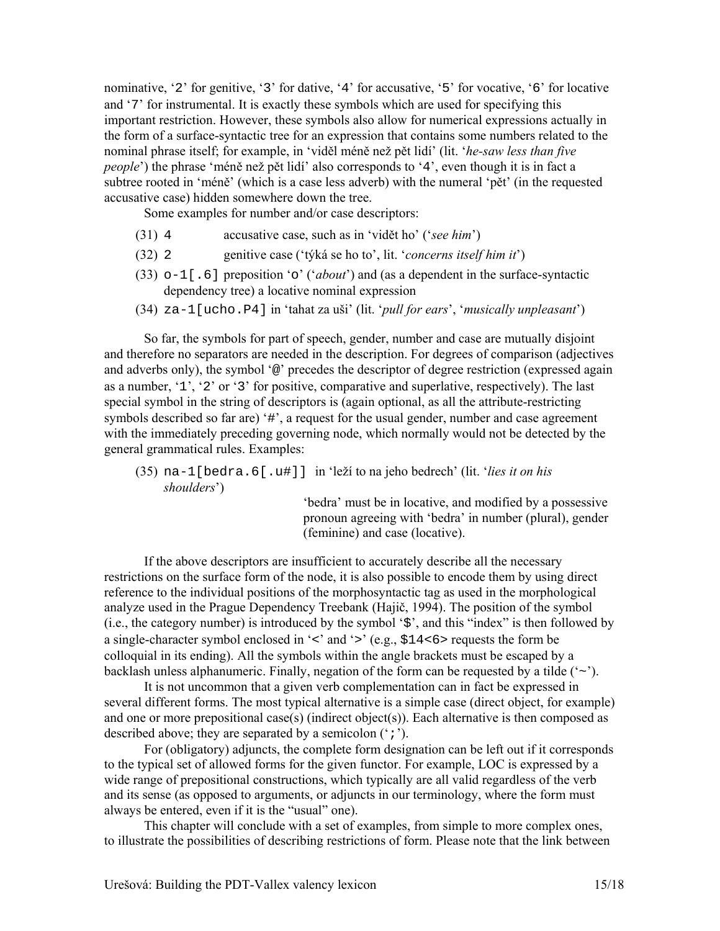nominative, '2' for genitive, '3' for dative, '4' for accusative, '5' for vocative, '6' for locative and '7' for instrumental. It is exactly these symbols which are used for specifying this important restriction. However, these symbols also allow for numerical expressions actually in the form of a surface-syntactic tree for an expression that contains some numbers related to the nominal phrase itself; for example, in 'viděl méně než pět lidí' (lit. '*he-saw less than five people*') the phrase 'méně než pět lidí' also corresponds to '4', even though it is in fact a subtree rooted in 'méně' (which is a case less adverb) with the numeral 'pět' (in the requested accusative case) hidden somewhere down the tree.

Some examples for number and/or case descriptors:

- (31) 4 accusative case, such as in 'vidět ho' ('*see him*')
- (32) 2 genitive case ('týká se ho to', lit. '*concerns itself him it*')
- (33) o-1[.6] preposition 'o' ('*about*') and (as a dependent in the surface-syntactic dependency tree) a locative nominal expression
- (34) za-1[ucho.P4] in 'tahat za uši' (lit. '*pull for ears*', '*musically unpleasant*')

 So far, the symbols for part of speech, gender, number and case are mutually disjoint and therefore no separators are needed in the description. For degrees of comparison (adjectives and adverbs only), the symbol '@' precedes the descriptor of degree restriction (expressed again as a number, '1', '2' or '3' for positive, comparative and superlative, respectively). The last special symbol in the string of descriptors is (again optional, as all the attribute-restricting symbols described so far are) '#', a request for the usual gender, number and case agreement with the immediately preceding governing node, which normally would not be detected by the general grammatical rules. Examples:

(35) na-1[bedra.6[.u#]] in 'leží to na jeho bedrech' (lit. '*lies it on his shoulders*')

> 'bedra' must be in locative, and modified by a possessive pronoun agreeing with 'bedra' in number (plural), gender (feminine) and case (locative).

 If the above descriptors are insufficient to accurately describe all the necessary restrictions on the surface form of the node, it is also possible to encode them by using direct reference to the individual positions of the morphosyntactic tag as used in the morphological analyze used in the Prague Dependency Treebank (Hajič, 1994). The position of the symbol (i.e., the category number) is introduced by the symbol '\$', and this "index" is then followed by a single-character symbol enclosed in '<' and '>' (e.g., \$14<6> requests the form be colloquial in its ending). All the symbols within the angle brackets must be escaped by a backlash unless alphanumeric. Finally, negation of the form can be requested by a tilde  $({\sim})$ .

 It is not uncommon that a given verb complementation can in fact be expressed in several different forms. The most typical alternative is a simple case (direct object, for example) and one or more prepositional case(s) (indirect object(s)). Each alternative is then composed as described above; they are separated by a semicolon (';').

 For (obligatory) adjuncts, the complete form designation can be left out if it corresponds to the typical set of allowed forms for the given functor. For example, LOC is expressed by a wide range of prepositional constructions, which typically are all valid regardless of the verb and its sense (as opposed to arguments, or adjuncts in our terminology, where the form must always be entered, even if it is the "usual" one).

This chapter will conclude with a set of examples, from simple to more complex ones, to illustrate the possibilities of describing restrictions of form. Please note that the link between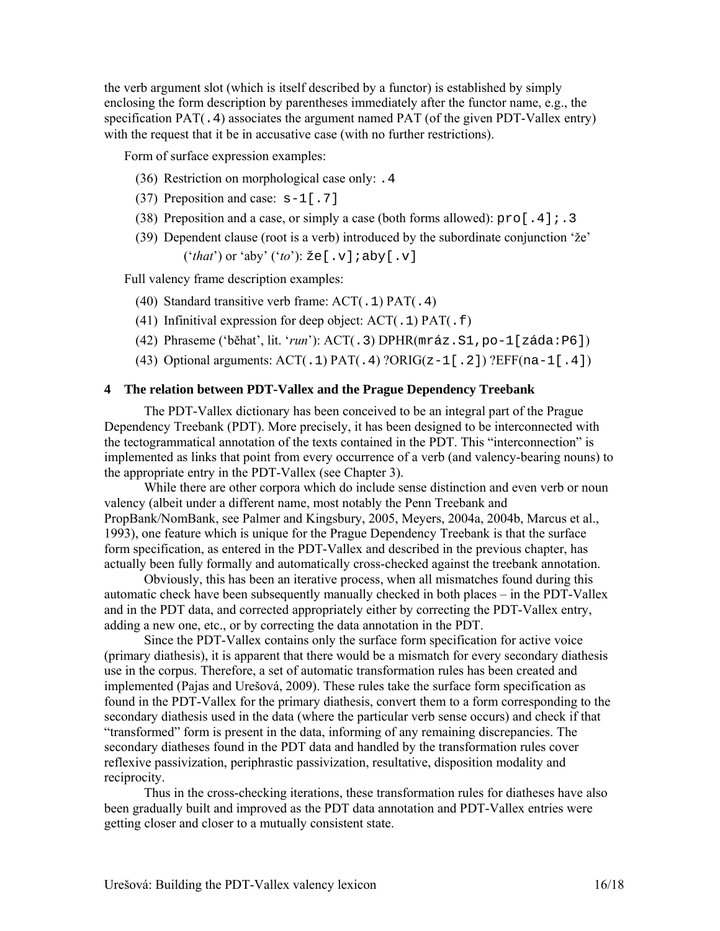the verb argument slot (which is itself described by a functor) is established by simply enclosing the form description by parentheses immediately after the functor name, e.g., the specification PAT(.4) associates the argument named PAT (of the given PDT-Vallex entry) with the request that it be in accusative case (with no further restrictions).

Form of surface expression examples:

- (36) Restriction on morphological case only: .4
- (37) Preposition and case: s-1[.7]
- (38) Preposition and a case, or simply a case (both forms allowed):  $\text{proj}[4]$ ; 3
- (39) Dependent clause (root is a verb) introduced by the subordinate conjunction 'že' ('*that*') or 'aby' ('*to*'): že[.v];aby[.v]

Full valency frame description examples:

- (40) Standard transitive verb frame:  $ACT(0.1)$   $PATH(0.4)$
- (41) Infinitival expression for deep object:  $ACT( .1)$   $PATH( .f)$
- (42) Phraseme ('běhat', lit. '*run*'): ACT(.3) DPHR(mráz.S1,po-1[záda:P6])
- (43) Optional arguments:  $ACT( .1)$   $PATH( .4)$  ? $ORIG(z-1[.2])$  ?EFF(na-1[.4])

### **4 The relation between PDT-Vallex and the Prague Dependency Treebank**

The PDT-Vallex dictionary has been conceived to be an integral part of the Prague Dependency Treebank (PDT). More precisely, it has been designed to be interconnected with the tectogrammatical annotation of the texts contained in the PDT. This "interconnection" is implemented as links that point from every occurrence of a verb (and valency-bearing nouns) to the appropriate entry in the PDT-Vallex (see Chapter 3).

While there are other corpora which do include sense distinction and even verb or noun valency (albeit under a different name, most notably the Penn Treebank and PropBank/NomBank, see Palmer and Kingsbury, 2005, Meyers, 2004a, 2004b, Marcus et al., 1993), one feature which is unique for the Prague Dependency Treebank is that the surface form specification, as entered in the PDT-Vallex and described in the previous chapter, has actually been fully formally and automatically cross-checked against the treebank annotation.

Obviously, this has been an iterative process, when all mismatches found during this automatic check have been subsequently manually checked in both places – in the PDT-Vallex and in the PDT data, and corrected appropriately either by correcting the PDT-Vallex entry, adding a new one, etc., or by correcting the data annotation in the PDT.

Since the PDT-Vallex contains only the surface form specification for active voice (primary diathesis), it is apparent that there would be a mismatch for every secondary diathesis use in the corpus. Therefore, a set of automatic transformation rules has been created and implemented (Pajas and Urešová, 2009). These rules take the surface form specification as found in the PDT-Vallex for the primary diathesis, convert them to a form corresponding to the secondary diathesis used in the data (where the particular verb sense occurs) and check if that "transformed" form is present in the data, informing of any remaining discrepancies. The secondary diatheses found in the PDT data and handled by the transformation rules cover reflexive passivization, periphrastic passivization, resultative, disposition modality and reciprocity.

Thus in the cross-checking iterations, these transformation rules for diatheses have also been gradually built and improved as the PDT data annotation and PDT-Vallex entries were getting closer and closer to a mutually consistent state.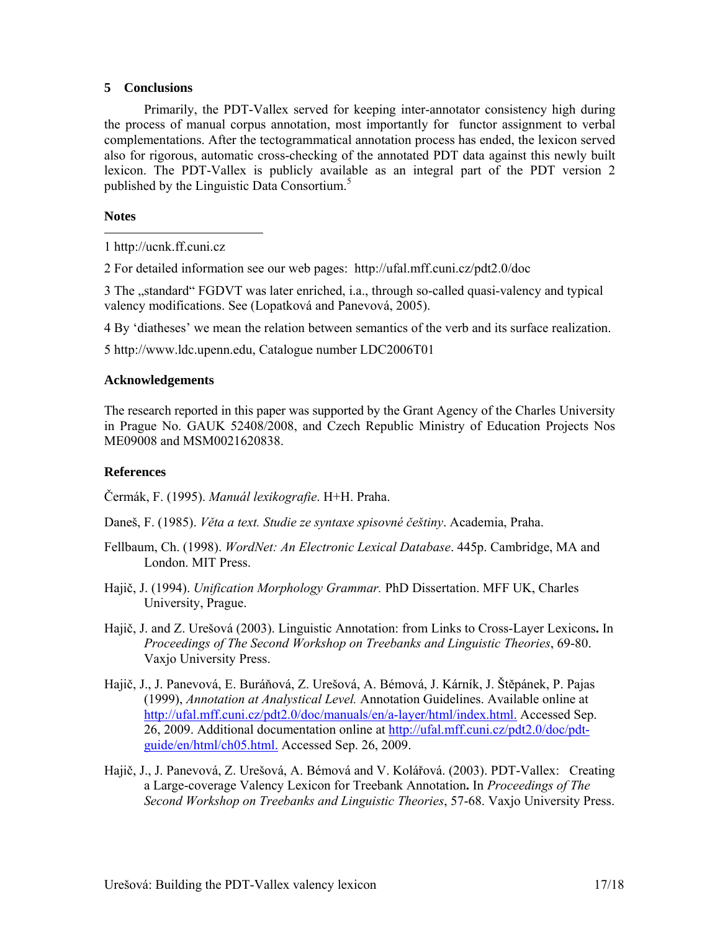# **5 Conclusions**

Primarily, the PDT-Vallex served for keeping inter-annotator consistency high during the process of manual corpus annotation, most importantly for functor assignment to verbal complementations. After the tectogrammatical annotation process has ended, the lexicon served also for rigorous, automatic cross-checking of the annotated PDT data against this newly built lexicon. The PDT-Vallex is publicly available as an integral part of the PDT version 2 published by the Linguistic Data Consortium.<sup>5</sup>

# **Notes**

 1 http://ucnk.ff.cuni.cz

2 For detailed information see our web pages: http://ufal.mff.cuni.cz/pdt2.0/doc

3 The "standard" FGDVT was later enriched, i.a., through so-called quasi-valency and typical valency modifications. See (Lopatková and Panevová, 2005).

4 By 'diatheses' we mean the relation between semantics of the verb and its surface realization.

5 http://www.ldc.upenn.edu, Catalogue number LDC2006T01

# **Acknowledgements**

The research reported in this paper was supported by the Grant Agency of the Charles University in Prague No. GAUK 52408/2008, and Czech Republic Ministry of Education Projects Nos ME09008 and MSM0021620838.

# **References**

Čermák, F. (1995). *Manuál lexikografie*. H+H. Praha.

Daneš, F. (1985). *Věta a text. Studie ze syntaxe spisovné češtiny*. Academia, Praha.

- Fellbaum, Ch. (1998). *WordNet: An Electronic Lexical Database*. 445p. Cambridge, MA and London. MIT Press.
- Hajič, J. (1994). *Unification Morphology Grammar.* PhD Dissertation. MFF UK, Charles University, Prague.
- Hajič, J. and Z. Urešová (2003). Linguistic Annotation: from Links to Cross-Layer Lexicons**.** In *Proceedings of The Second Workshop on Treebanks and Linguistic Theories*, 69-80. Vaxjo University Press.
- Hajič, J., J. Panevová, E. Buráňová, Z. Urešová, A. Bémová, J. Kárník, J. Štěpánek, P. Pajas (1999), *Annotation at Analystical Level.* Annotation Guidelines. Available online at http://ufal.mff.cuni.cz/pdt2.0/doc/manuals/en/a-layer/html/index.html. Accessed Sep. 26, 2009. Additional documentation online at http://ufal.mff.cuni.cz/pdt2.0/doc/pdtguide/en/html/ch05.html. Accessed Sep. 26, 2009.
- Hajič, J., J. Panevová, Z. Urešová, A. Bémová and V. Kolářová. (2003). PDT-Vallex: Creating a Large-coverage Valency Lexicon for Treebank Annotation**.** In *Proceedings of The Second Workshop on Treebanks and Linguistic Theories*, 57-68. Vaxjo University Press.